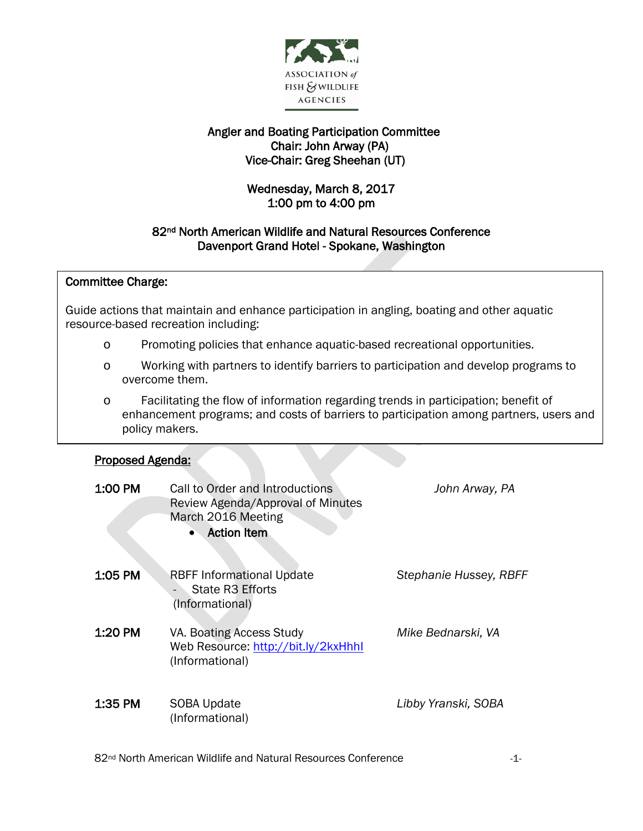

## Angler and Boating Participation Committee Chair: John Arway (PA) Vice-Chair: Greg Sheehan (UT)

# Wednesday, March 8, 2017 1:00 pm to 4:00 pm

## 82nd North American Wildlife and Natural Resources Conference Davenport Grand Hotel - Spokane, Washington

#### $\overline{\phantom{a}}$ Committee Charge:

 Guide actions that maintain and enhance participation in angling, boating and other aquatic ้ resource-based recreation including:

- o Promoting policies that enhance aquatic-based recreational opportunities.
- o Working with partners to identify barriers to participation and develop programs to overcome them.
- o Facilitating the flow of information regarding trends in participation; benefit of enhancement programs; and costs of barriers to participation among partners, users and policy makers.

#### I Proposed Agenda:

| 1:00 PM   | Call to Order and Introductions<br>Review Agenda/Approval of Minutes<br>March 2016 Meeting<br><b>Action Item</b> | John Arway, PA         |
|-----------|------------------------------------------------------------------------------------------------------------------|------------------------|
| 1:05 PM   | <b>RBFF Informational Update</b><br>State R3 Efforts<br>(Informational)                                          | Stephanie Hussey, RBFF |
| 1:20 PM   | VA. Boating Access Study<br>Web Resource: http://bit.ly/2kxHhhl<br>(Informational)                               | Mike Bednarski, VA     |
| $1:35$ PM | SOBA Update<br>(Informational)                                                                                   | Libby Yranski, SOBA    |